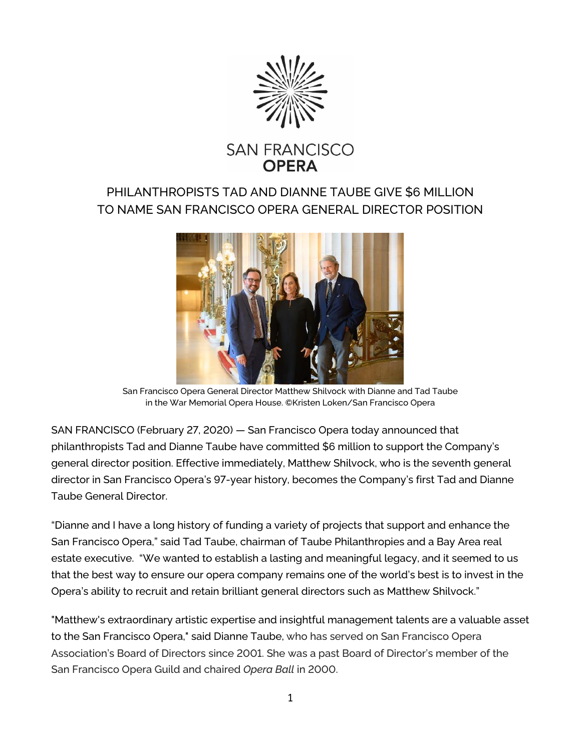

# **SAN FRANCISCO OPFRA**

## PHILANTHROPISTS TAD AND DIANNE TAUBE GIVE \$6 MILLION TO NAME SAN FRANCISCO OPERA GENERAL DIRECTOR POSITION



San Francisco Opera General Director Matthew Shilvock with Dianne and Tad Taube in the War Memorial Opera House. ©Kristen Loken/San Francisco Opera

SAN FRANCISCO (February 27, 2020) — San Francisco Opera today announced that philanthropists Tad and Dianne Taube have committed \$6 million to support the Company's general director position. Effective immediately, Matthew Shilvock, who is the seventh general director in San Francisco Opera's 97-year history, becomes the Company's first Tad and Dianne Taube General Director.

"Dianne and I have a long history of funding a variety of projects that support and enhance the San Francisco Opera," said Tad Taube, chairman of Taube Philanthropies and a Bay Area real estate executive. "We wanted to establish a lasting and meaningful legacy, and it seemed to us that the best way to ensure our opera company remains one of the world's best is to invest in the Opera's ability to recruit and retain brilliant general directors such as Matthew Shilvock."

"Matthew's extraordinary artistic expertise and insightful management talents are a valuable asset to the San Francisco Opera," said Dianne Taube, who has served on San Francisco Opera Association's Board of Directors since 2001. She was a past Board of Director's member of the San Francisco Opera Guild and chaired *Opera Ball* in 2000.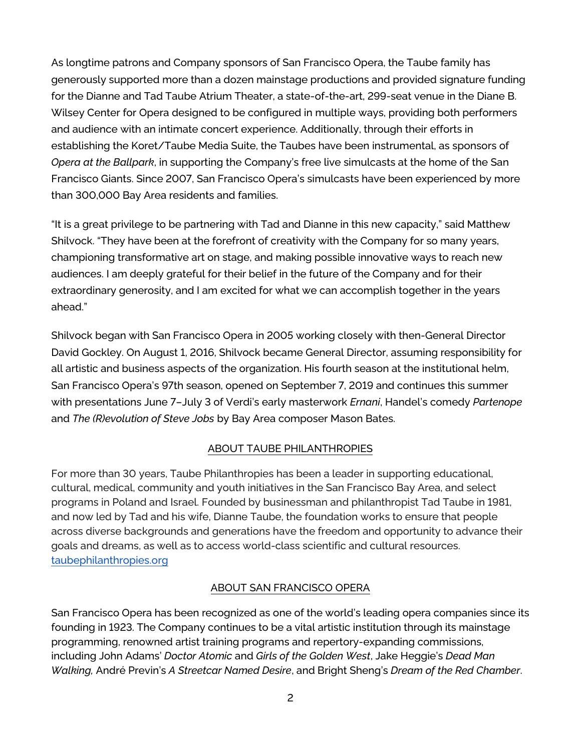As longtime patrons and Company sponsors of San Francisco Opera, the Taube family has generously supported more than a dozen mainstage productions and provided signature funding for the Dianne and Tad Taube Atrium Theater, a state-of-the-art, 299-seat venue in the Diane B. Wilsey Center for Opera designed to be configured in multiple ways, providing both performers and audience with an intimate concert experience. Additionally, through their efforts in establishing the Koret/Taube Media Suite, the Taubes have been instrumental, as sponsors of *Opera at the Ballpark*, in supporting the Company's free live simulcasts at the home of the San Francisco Giants. Since 2007, San Francisco Opera's simulcasts have been experienced by more than 300,000 Bay Area residents and families.

"It is a great privilege to be partnering with Tad and Dianne in this new capacity," said Matthew Shilvock. "They have been at the forefront of creativity with the Company for so many years, championing transformative art on stage, and making possible innovative ways to reach new audiences. I am deeply grateful for their belief in the future of the Company and for their extraordinary generosity, and I am excited for what we can accomplish together in the years ahead."

Shilvock began with San Francisco Opera in 2005 working closely with then-General Director David Gockley. On August 1, 2016, Shilvock became General Director, assuming responsibility for all artistic and business aspects of the organization. His fourth season at the institutional helm, San Francisco Opera's 97th season, opened on September 7, 2019 and continues this summer with presentations June 7–July 3 of Verdi's early masterwork *Ernani*, Handel's comedy *Partenope* and *The (R)evolution of Steve Jobs* by Bay Area composer Mason Bates.

### ABOUT TAUBE PHILANTHROPIES

For more than 30 years, Taube Philanthropies has been a leader in supporting educational, cultural, medical, community and youth initiatives in the San Francisco Bay Area, and select programs in Poland and Israel. Founded by businessman and philanthropist Tad Taube in 1981, and now led by Tad and his wife, Dianne Taube, the foundation works to ensure that people across diverse backgrounds and generations have the freedom and opportunity to advance their goals and dreams, as well as to access world-class scientific and cultural resources. [taubephilanthropies.org](http://taubephilanthropies.org/)

### ABOUT SAN FRANCISCO OPERA

San Francisco Opera has been recognized as one of the world's leading opera companies since its founding in 1923. The Company continues to be a vital artistic institution through its mainstage programming, renowned artist training programs and repertory-expanding commissions, including John Adams' *Doctor Atomic* and *Girls of the Golden West*, Jake Heggie's *Dead Man Walking,* André Previn's *A Streetcar Named Desire*, and Bright Sheng's *Dream of the Red Chamber*.